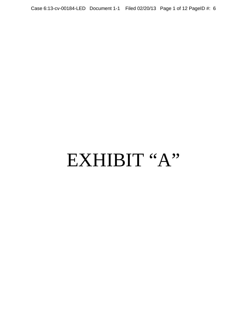# EXHIBIT "A"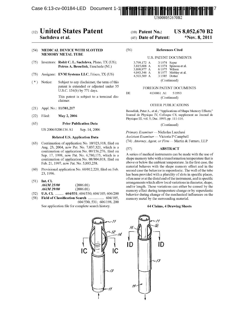Case 6:13-cv-00184-LED Document 1-1



US008052670B2

# (12) United States Patent

# Sachdeva et al.

#### **MEDICAL DEVICE WITH SLOTTED**  $(54)$ **MEMORY METAL TUBE**

- (75) Inventors: Rohit C. L. Sachdeva, Plano, TX (US); Petrus A. Besselink, Enschede (NL)
- Assignee: EVM Systems LLC, Frisco, TX (US)  $(73)$
- $(* )$ Notice: Subject to any disclaimer, the term of this patent is extended or adjusted under 35 U.S.C. 154(b) by 771 days.

This patent is subject to a terminal disclaimer.

- Appl. No.: 11/381,217  $(21)$
- $(22)$ Filed: May 2, 2006

#### $(65)$ **Prior Publication Data**

US 2006/0206136 A1 Sep. 14, 2006

#### **Related U.S. Application Data**

- (63) Continuation of application No. 10/923,918, filed on Aug. 23, 2004, now Pat. No. 7,037,321, which is a continuation of application No. 09/156,276, filed on Sep. 17, 1998, now Pat. No. 6,780,175, which is a continuation of application No. 08/804,018, filed on Feb. 21, 1997, now Pat. No. 5,885,258.
- Provisional application No. 60/012,220, filed on Feb.  $(60)$ 23, 1996.
- $(51)$  Int. Cl.

| <i>A61M 25/00</i> | (2006.01) |
|-------------------|-----------|
| <i>A61M 29/00</i> | (2006.01) |

- $(52)$ U.S. Cl. ......... 604/531; 604/530; 604/105; 606/200
- Field of Classification Search ................... 604/105,  $(58)$ 604/530, 531; 606/198, 200 See application file for complete search history.

#### **US 8,052,670 B2**  $(10)$  Patent No.:

#### (45) Date of Patent: \*Nov. 8, 2011

#### $(56)$ **References Cited**

#### **U.S. PATENT DOCUMENTS**

| 3.799.172 A | 3/1974 Szpur  |                       |
|-------------|---------------|-----------------------|
| 3,815,608 A |               | 6/1974 Spinosa et al. |
| 3.890.977 A |               | $6/1975$ Wilson       |
| 4.043.346 A |               | 8/1977 Mobley et al.  |
| 4,503,569 A | 3/1985 Dotter |                       |
|             | (Continued)   |                       |

#### FOREIGN PATENT DOCUMENTS

4136861 A1  $5/1993$ 

(Continued)

## OTHER PUBLICATIONS

Besselink, Peter A., et al.; "Applications of Shape Memory Effects;" Journal de Physique IV, Colloque C8, supplement au Journal de Physique III, vol. 5; Dec. 1995; pp. 111-116.

(Continued)

Primary Examiner - Nicholas Lucchesi Assistant Examiner - Victoria P Campbell (74) Attorney, Agent, or Firm - Martin & Ferraro, LLP

#### $(57)$ **ABSTRACT**

DE.

A series of medical instruments can be made with the use of shape memory tube with a transformation temperature that is above or below the ambient temperature. In the first case, the material behaves with the shape memory effect and in the second case the behavior is superelastic. The wall of the tube has been provided with a plurality of slots in specific places, often near or at the distal end of the instrument, and in specific arrangements which allow local variations in diameter, shape, and/or length. These variations can either be caused by the memory effect during temperature change or by superelastic behavior during change of the mechanical influences on the memory metal by the surrounding material.

#### 64 Claims, 4 Drawing Sheets

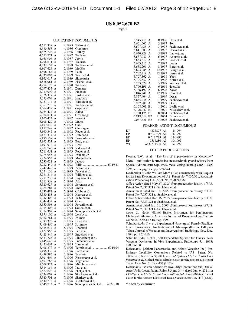Page 2

#### U.S. PATENT DOCUMENTS

| 4,512,338              | А |   | 4/1985           | Balko et al.           |
|------------------------|---|---|------------------|------------------------|
| 4,580,568              | А |   | 4/1986           | Gianturco              |
| 4,625,726              | Α |   | 12/1986          | Duthoy                 |
| 4,655,771              | А |   | 4/1987           | Wallsten               |
| 4,665,906              | А |   | 5/1987           | Jervis                 |
| 4,706,671              | А |   | 11/1987          | Weinrib                |
| 4,732,152              | А |   | 3/1988           | Wallsten et al.        |
| 4,807,626              | А |   | 2/1989           | McGirr                 |
| 4,808,163              | А |   | 2/1989           | Laub                   |
| 4,830,003              | А |   | 5/1989           | Wolff et al.           |
| 4,865,017              | А |   | 9/1989           | Shinozuka              |
| 4,886,061              | А |   | 12/1989          | Fischell et al.        |
| 4,954,126              | A |   | 9/1990           | Wallsten               |
| 4,997,435              | Α |   | 3/1991           | Demeter                |
| 5,019,090              | А |   | 5/1991           | Pinchuk                |
| 5,026,377              | Α |   | 6/1991           | Burton et al.          |
| 5,053,009              | А |   | 10/1991          | Herzberg               |
| 5,057,114              | А |   | 10/1991          | Wittich et al.         |
| 5,061,275              | А |   | 10/1991          | Wallsten et al.        |
| 5,064,428              | А |   | 11/1991          | Cope et al.            |
| 5,064,434              | А |   | 11/1991          | Haber                  |
| 5,074,871              | А |   | 12/1991          | Groshong               |
| 5,100,423              | А |   | 3/1992           | Fearnot                |
| 5,108,420              | Α |   | 4/1992           | Marks                  |
| 5,109,830              | А |   | 5/1992           | Cho                    |
| 5,152,748              | Α |   | 10/1992          | Chastagner             |
| 5,160,342              | А |   | 11/1992          | Reger et al.           |
| 5,171,314              | А |   | 12/1992          | Dulebohn               |
| 5,190,557              | А |   | 3/1993           | Borodulin et al.       |
| 5,193,533              | А |   | 3/1993           | Body et al.            |
| 5,197,978              | А |   | 3/1993           | Hess                   |
| 5,201,740              | А |   | 4/1993           | Nakao et al.           |
| 5,211,651              | А |   | 5/1993           | Reger et al.           |
| 5,224,945              | А |   | 7/1993           | Pannek, Jr.            |
| 5,224,953              | А |   | 7/1993           | Morgentaler            |
| 5,230,621              | А |   | 7/1993           | Jacoby                 |
| 5,232,440              | А | ∗ | 8/1993           | 604/543<br>Wilk        |
| 5,242,448              | А |   | 9/1993           | Pettine et al.         |
| 5,254,130              | A |   | 10/1993          | Poncet et al.          |
| 5,281,214              | А |   | 1/1994           | Wilkins et al.         |
| 5,281,236              | А |   | 1/1994           | Bagnato et al.         |
| 5,311,858              | А |   | 5/1994           | Adair                  |
|                        |   |   |                  | Sorensen et al.        |
| 5,320,627              | А |   | 6/1994           |                        |
| 5,324,284              | А |   | 6/1994           | lmran                  |
| 5,330,482              | А |   | 7/1994           | Gibbs et al.           |
| 5,330,483              | А |   | 7/1994           | Heaven et al.          |
| 5,332,402              | А |   | 7/1994           | Teitelbaum             |
| 5,344,439              | А |   | 9/1994           | Otten                  |
| 5,350,398              | Α |   | 9/1994           | Pavenik et al.         |
| 5,354,308              | А |   | 10/1994          | Simon et al.           |
| 5,354,309              | А |   | 10/1994          | Schnepp-Pesch et al.   |
| 5,376,100              | А |   | 12/1994          | Levebvre               |
| 5,382,261              | А |   | 1/1995           | Palmaz                 |
| 5,397,320              | А |   | 3/1995           | Essig et al.           |
| 5,409,460              | A |   | 4/1995           | Krumme                 |
| 5,415,637              | A |   | 5/1995           | Khosravi               |
| 5,421,955              | А |   | 6/1995           | Lau et al.             |
| 5,423,849              | А |   | 6/1995           | Engelson et al.        |
| 5,433,723              | А |   | 7/1995           | Lindenberg et al.      |
| 5,445,646              | А |   | 8/1995           | Euteneuer et al.       |
| 5,456,667              | A |   | 10/1995          | Ham et al.             |
| 5,496,277              | А | ₩ | 3/1996           | Termin et al.  604/104 |
| 5,496,330              | А |   | 3/1996           | Bates et al.           |
| 5,499,995              | А |   | 3/1996           | Teirstein              |
| 5,501,694              | А |   | 3/1996           | Ressemann et al.       |
| 5,507,766              | А |   | 4/1996           | Kugo et al.            |
| 5,509,923              | А |   | 4/1996           | Middleman et al.       |
| 5,514,154              | А |   | 5/1996           | Lau et al.             |
| 5,522,822              | А |   | 6/1996           | Phelps et al.          |
| 5,534,007              | А |   | 7/1996           | St. Germain et al.     |
| 5,540,701              | А |   | 7/1996           | Sharkey et al.         |
| 5,540,712<br>5,540,713 | А | 申 | 7/1996<br>7/1996 | Kleshinski et al.      |

| 5,545,210   | A              | 8/1996  | Hess et al.      |
|-------------|----------------|---------|------------------|
| 5,601,600   | A              | 2/1997  | Ton              |
| 5,607,435 A |                | 3/1997  | Sachdeva et al.  |
| 5,611,803   | A              | 3/1997  | Heaven et al.    |
| 5,630,829   | А              | 5/1997  | Lauterjung       |
| 5,637,089   | А              | 6/1997  | Abrams et al.    |
| 5,643,312   | А              | 7/1997  | Fischell et al.  |
| 5.643.313   | А              | 7/1997  | Levin            |
| 5,658,296 A |                | 8/1997  | Bates et al.     |
| 5,693,085   | А              | 12/1997 | Buirge et al.    |
| 5,702,419   | A              | 12/1997 | Berry et al.     |
| 5,707,362   | А              | 1/1998  | Yoon             |
| 5,725,552   | A              | 3/1998  | Kotula et al.    |
| 5,733,329   | А              | 3/1998  | Wallace et al.   |
| 5,766,191   | A              | 6/1998  | Trertola         |
| 5,766,192   | A              | 6/1998  | Zacca            |
| 5,846,248   | А              | 12/1998 | Chu et al.       |
| 5,857,464   | А              | 1/1999  | Desai            |
| 5,885,258   | А              | 3/1999  | Sachdeva et al.  |
| 5,957,900   | А              | 9/1999  | Ouchi            |
| 6,168,603   | B1             | 1/2001  | Leslie et al.    |
| 6,176,240   | B1             | 1/2001  | Nikolchev et al. |
| 6,780,175   | B1             | 8/2004  | Sachdeva et al.  |
| 6,818,014   | B <sub>2</sub> | 11/2004 | Brown et al.     |
| 7,037,321   | B2             | 5/2006  | Sachdeva et al.  |
|             |                |         |                  |

#### FOREIGN PATENT DOCUMENTS

| DE. | 4223897 A1    | 1/1994  |
|-----|---------------|---------|
| FP. | 0.512.729 A1  | 11/1992 |
| EP. | 0.512.729. B1 | 11/1992 |
| ЕP  | 0566280 A3    | 10/1993 |
| WΟ  | WO9214506 A1  | 9/1992  |

#### OTHER PUBLICATIONS

Duerig, T.W., et al.; "The Use of Superelasticity in Medicine;" Metal-publication for trade, business, technology and science from Special Edition Issue Sep. 1996, metal Verlag Huethig GmbH; Sep. 1996; cover page and pp. 569-574.

Declaration of John William Morris filed concurrently with Request for Ex Parte Reexamination of U.S. Patent No. 7,037,321, Reexamination Proceeding U.S. Appl. No. 90/009,876.

Office Action dated May 27,2005, from prosecution history of U.S. Patent No. 7,037,321 to Sachdeva et al.

Amendment dated Oct. 18, 2005, from prosecution history of U.S. Patent No. 7,037,321 to Sachdeva et al.

Office Action dated Dec. 16,2005, from prosecution history of U.S. Patent No. 7,037,321 to Sachdeva et al.

Amendment dated Jan. 10, 2006, from prosecution history of U.S. Patent No. 7,037,321 to Sachdeva et al.

Cope, c., Novel Nitinol Basket Instrument for Percutaneous Cholecystolithotomy, American Journal of Roentgenology, Technical Note, 155:515-516, Sep. 1990.

Schmitz-Rode, T. et aI., Experimental Nonsurgical Female Sterilization: Transcervical Implantation of Microspindles in Fallopian Tubes, Journal of Vascular and Interventional Radiology, Nov.-Dec. 1994, pp. 905-910.

Schmitz-Rode, T. et aI., Self-Expandable Spindle for Transcatheter Vascular Occlusion: In Vivo Experiments, Radiology, Jul. 1993; 188:95-100.

Defendants' [Abbott Laboratories and Abbott Vascular, Inc.] Preliminary Invalidity Contentions Related to U.S. Patent No. 7,037,321, dated Jun. 9, 2011, in *EVM Systems LLC* v. *Cordis Corporation et ai.,* United States District Court for the Eastern District of Texas, Case No. 6:10-cv-437 (LED).

Defendants' Boston Scientific's Invalidity Contentions and Disclosures Under Local Patent Rules 3-3 and 3-4), dated Jun. 9, 2011, in *EVM Systems LLCv. Cordis Corporation et ai.,* United States District Court for the Eastern District of Texas, Case No.6: 10-cv-437 (LED).

\* cited by examiner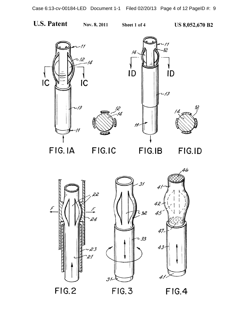**U.S. Patent** 

Sheet 1 of 4





FIG.IA



FIG.IB

FIG.ID



FIG.2

 $FIG.3$ 

**FIG.4**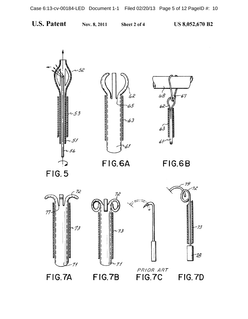

Nov. 8,2011 Sheet 2 of 4 US 8,052,670 **B2** 



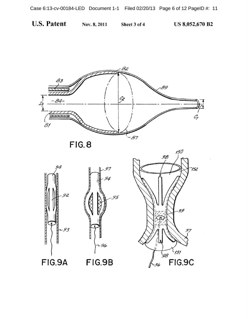**U.S. Patent** 

Nov. 8, 2011

Sheet 3 of 4

**US 8,052,670 B2** 



FIG.8





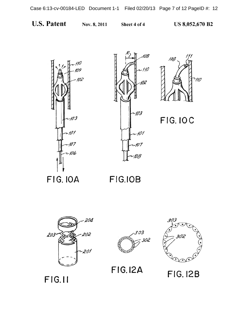







FIG.IOC

FIG.IOA FIG.IOB



FIG.12A FIG.12B

F f G.II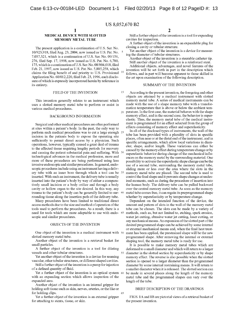15

65

#### **MEDICAL DEVICE WITH SLOTTED MEMORY METAL TUBE**

The present application is a continuation of U.S. Ser. No. 10/923,918, filed Aug. 23, 2004, now issued as U.S. Pat. No. 5 7,037,321, which is a continuation of U.S . Ser. No. 091156, 276, filed Sep. 17, 1998, now issued as U.S. Pat. No. 6,780, 175, which is a continuation of U.S. Ser. No. 08/804,018, filed Feb. 21, 1997, now issued as U.S. Pat. No. 5,885,258, which claims the filing benefit of and priority to U.S. Provisional Application No. 60/012,220, filed Feb. 23, 1996, eachdisclosure of which is expressly incorporated herein by reference in its entirety.

#### FIELD OF THE INVENTION

This invention generally relates to an instrument which uses a slotted memory metal tube to perform or assist in various medical procedures.

#### BACKGROUND INFORMATION

Surgical and other medical procedures are often performed effects consisting of memory effect and superelasticity. perform such medical procedures was to cut a large enough 25 incision in the patients body to expose the operating site sufficiently to permit direct access by a physician. Such operations, however, typically caused a great deal of trauma to the affected tissue requiring lengthy periods for recovery caused by the memory effect during temperature change or by and causing the patient substantial pain and suffering. With technological advances in the medical profession, more and more of these procedures are being performed using less invasive endoscopic and similar procedures. In general, endoscopic procedures include using an instrument having a delivery tube with an inner bore through which a tool can be inserted. With such an instrument, the delivery tube is usually inserted into the patient's body by way of either a comparatively small incision or a body orifice and through a body cavity or hollow organ to the site desired. In this way, any trauma to the patient's body can be generally limited to surrounding tissue along the insertion path of the delivery tube.

Many procedures have been limited to traditional direct access methods due to the size and method of operation of the tools used to perform the procedures. As a result, there is a need for tools which are more adaptable to use with endoscopic and similar procedures.

#### OBJECTS OF THE INVENTION

slotted memory metal tube.

Another object of the invention is a retrieval basket for small particles.

A further object of the invention is a tool for dilating vessels and other tubular structures.

Yet another object of the invention is a device for reaming vascular, other tubular structures, or different shaped cavities.

Still a further object of the invention is a pump for injection of a defined quantity of fluid.

Yet a further object of the invention is an optical system 60 with an expanding section which allows inspection of the expanded area.

Another object of the invention is an internal gripper for holding soft tissue such as skin, nerves, arteries, or the like or for holding clips.

Yet a further object of the invention is an external gripper for attaching to stents, tissue, or skin.

Still a further object of the invention is a tool for expanding cavities for inspection.

A further object of the invention is an expandable plug for closing a cavity or tubular structure.

Yet another object of the invention is a device for measuring the diameter of tubular structures.

Another object of the invention is a steerable catheter tip. Still another object of the invention is a reinforced stent.

Additional objects, advantages, and novel features of the 10 invention will be set forth in part in the description which  $10^{10}$  follows and in the set illumination which is follows, and in part will become apparent to those skilled in the art upon examination of the following description.

#### SUMMARY OF THE INVENTION

According to the present invention, the foregoing and other objects are attained by a medical instrument with slotted memory metal tube. A series of medical instruments can be made with the use of a shape memory tube with a transformation temperature that is above or below the ambient tem-20 perature. In the first case, the material behaves with the shape memory effect, and in the second case, the behavior is superelastic. Thus, the memory metal tube of the medical instrument is programmed for an effect selected from the group of

In all of the disclosed types of instruments, the wall of the tube has been provided with a plurality of slots in specific places, often near or at the distal end of the instrument, and in specific arrangements, which allow local variations in diameter, shape, and/or length. These variations can either be superelastic behavior during change of the mechanical influences on the memory metal by the surrounding material. One possibility to activate the superelastic shape change can be the use of a second tube, surrounding the memory metal tube, sliding more or less over the area where the slots in the memory metal tube are placed. The second tube is used to control the final shape and it prevents shape changes at undesired moments, such as during the procedure of insertion into the human body. The delivery tube can be pulled backward over the central memory metal tube. As soon as the memory metal tube comes free, it can regain its preprogrammed shape whether by superelasticity or by temperature change.

One object of the invention is a medical instrument with 50 ment has been applied, the prestrained shape will be the new Dependent on the intended function of the device, the amount and pattern of slots in the wall of the memory metal tube can be chosen. The slots can be made by a variety of methods, such as, but not limited to, etching, spark erosion, water jet cutting, abrasive water jet cutting, laser cutting, or any mechanical means. An expansion of the slotted part of the desired programmed shape can be achieved by some internal or external mechanical means and, when the final heat treatprogrammed shape. After removing the internal or external shaping tool, the memory metal tube is ready for use.

> It is possible to make memory metal tubes which are deformed to a small diameter and which will return to a larger diameter in the slotted section by superelasticity or by shape memory effect. The reverse is also possible when the slotted section is opened to a larger diameter than the programmed diameter by some internal restraining means. It will return to a smaller diameter when it is released. The slotted section can be made in several places along the length of the memory metal tube and the progrannned shapes can vary over the length of the tube.

## BRIEF DESCRIPTION OF THE DRAWINGS

FIGS. **lA and IB** are pictorial views of a retrieval basket of the present invention.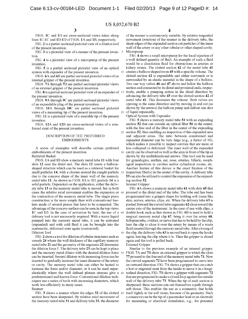FIGS. 1C and 1D are cross-sectional views taken along lines 1C-1C and 1D-1D of FIGS. 1A and 1B, respectively.

FIG. 2 is a partial sectional pictorial view of a dilation tool of the present invention.

FIG. 3 is a pictorial view of a reamer of the present invention.

FIG. 4 is a pictorial view of a micropump of the present invention.

FIG. 5 is a partial sectional pictorial view of an optical system with expander of the present invention.

FIGS. 6A and 6B are partial sectional pictorial views of an internal gripper of the present invention.

FIGS. 7A through 7D are partial sectional pictorial views of an external gripper of the present invention.

FIG. 8 is a partial sectional pictorial view of an expander of 15 the present invention.

FIGS. 9A through 9C are partial sectional pictorial views of an expandable plug of the present invention.

FIGS. 10A through 10C are partial sectional pictorial views of a measuring tip of the present invention.

FIG. 11 is a pictorial view of a steerable tip of the present invention.

FIGS. 12A and 12B are cross-sectional views of a reinforced stent of the present invention.

#### DESCRIPTION OF THE PREFERRED EMBODIMENTS

A series of examples will describe certain preferred embodiments of the present invention. Retrieval Basket

FIGS. 1A and 1B show a memory metal tube 11 with four slots 12 near the distal end. The slots 12 create a balloonshaped structure which can be used as a retrieval basket for small particles 14, with a closure around the caught particle 35 due to the concave shape of the inner wall of the memory metal tube 11. As shown in FIGS. 1A to 1D, particle 14 is a solid particle. Dependent on the application, either the delivery tube 13 or the memory metal tube is moved, but in both cases the relative axial movement enables the expansion or 40 proceed to the distal end of the tube. The tube end has been the contraction of the memory metal tube. The single piece construction is far more simple than with conventional baskets made of several pieces that have to be connected. The advantage of the concave surface can be seen in the top views 1C and 1D. In the case of activation by heat, the use of a delivery tool is not necessarily required. With a warm liquid pumped into the memory metal tube, it can be activated (expanded) and with cold fluid it can be brought into the martensitic, deformed state again (contracted). Dilation Tool

FIG. 2 shows a tool for dilation of tubular structures such as vessels 24 where the wall thickness of the capillary memory metal tube 21 and the geometry of the segments 22 determine the dilation force F. The delivery tube 23 can be kept in place and the memory metal dilator with the desired dilation force 55 can be inserted. Several dilators with increasing force can be inserted to gradually increase the inner diameter of the artery or cavity. The memory metal tube can either be heated to increase the force and/or diameter, or it can be used superelastically where the well defined plateau stresses give a predetermined and known force. Conventional dilation techniques use a series of tools with increasing diameters, which work less efficiently in many cases. Reamer

FIG. 3 shows a reamer where the edges 32 of the slotted 65 section have been sharpened. By relative axial movement of the memory metal tube 31 and delivery tube 33, the diameter

4

of the reamer is continuously variable. By relative tangential movement (rotation) of the reamer in the delivery tube, the sharp edges of the expanded section cut particles of the inner wall of the artery or any other tubular or other shaped cavity. Micropump

FIG. 4 shows a small micropump for the local injection of a well defined quantity of fluid. An example of such a fluid would be a dissolution fluid for obstructions in arteries or kidney stones. The slotted section 42 of the metal tube 41 10 creates a balloon shaped room 45 with a specific volume. The slotted section 42 is expandable and either surrounds or is surrounded by an elastic material in the shape of a balloon. Two one way valves 46 and 47 above and below the balloon section and connected to its distal and proximal ends, respectively, enable a pumping action in the distal direction by advancing the delivery tube 43 over the slotted section 42 of metal tube 41. This decreases the volume. Both valves are opening in the same direction and by moving in and out (as shown by the arrows) the balloon pump and deliver one shot 20 of liquid repeatedly.

Optical System with Expander

FIG. 5 shows a memory metal tube 51 with an expanding section 52 that can contain an optical fiber 56 in the center, with the free end of the fiber in the center of the expanding 25 section 52, thus enabling an inspection of this expanded area and adjacent areas. The ratio between constrained and expanded diameter can be very large (e.g., a factor of 10), which makes it possible to inspect cavities that are more or less collapsed or deformed. The inner wall of the expanded 30 cavity can be observed as well as the area in front of the tip as shown by the multidirectional arrows. This tool can be used for gynealogics, urethra, ear, nose, arteries, biliaric, esophageal inspections in cavities and/or cylindrical rooms, etc. Another feature of this device is the exact fixation of the inspection fiber $(s)$  in the center of the cavity. A delivery tube 53 can also be utilized to control the expansion of the expanding section 52.

Internal Gripper

FIG. 6A shows a memory metal tube 61 with slots 65 that programmed into a gripper shape for holding soft tissue like skin, nerves, arteries, clips, etc. When the delivery tube 63 is pushed forward the curved tube segments 62 close toward the center axis of the instrument. In the case of use with clips, a double hook such as that shown in FIG. 6B is used to hold a surgical memory metal clip 67, bring it over the artery 68, fallopian tube, oviduct, or nerve that has to be held by the clip, heat the clip to close it over the artery by means of a warm fluid inserted through the memory metal tube. After closing of 50 the clip, the delivery tube 63 is moved back to open the hooks again, leaving the clip where it is. Then the gripper is closed again and the tool is pulled back.

External Gripper

Similar to the previous example of an internal gripper, 55 FIGS. 7 A and 7B show an external gripper in which the slots 77 proceed to the free end of the memory metal tube 71. Now the curved segments 72 have been programmed to curve into an outward direction. FIG. 7 A shows a gripper that can catch a lost or migrated stent from the inside to move it in a longitudinal direction. FIG. 7B shows a gripper with segments 72 that are programmed to make a closed loop against the outside wall of the delivery tube 73. When the tip of each section is sharpened, these sections can cut themselves a path through soft tissue. This enables the use as a connector, that holds itself tightly to the soft tissue, because of its geometry. Such a connector can be the tip of a pacemaker lead or an electrode for measuring or electrical stimulation, e.g., for potential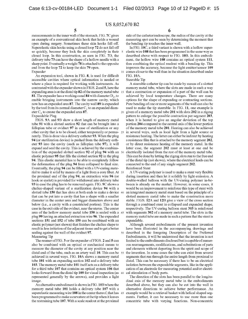measurements in the inner wall of the stomach. FIG. 7C gives an example of a conventional skin hook that holds a wound open during surgery. Sometimes these skin hooks fall off. Superelastic skin hooks using a closed loop 72 do not fall off so quickly, because they lock the skin completely in their 5 closed loop. In this construction, as seen in FIG. 7D, the delivery tube 73 can have the shape of a hollow needle with a sharp point. Eventually a weight 78 is attached to the opposite end from the loop 72 to keep the skin 79 open.

An expansion tool, shown in FIG.  $\boldsymbol{8}$ , is used for difficult FIG. 10A. accessible cavities where optical infonnation is needed or where a place is required for working with instruments. As contrasted with the expander shown in FIGS. 2 and 5, here the expanding area is at the distal tip 82 of the memory metal tube 15 81. The expander has a working canal 84 with diameter  $D_1$ , to enable bringing instruments into the narrow cavity, which now has an expanded area 87. The cavity wall 89 is expanded by the tool from its normal diameter  $C_1$  to an expanded diameter  $C_2$  to create the expanded area 87. Expandable Plug

FIGS. 9A and 9B show a short length of memory metal tube 91 with a slotted section 92 that can be brought into a fallopian tube or oviduct 97 in case of sterilization or any other cavity that is to be closed, either temporarily or penna- 25 nently. This is done via a delivery catheter 93. When the plug 94 (or sterilization device) is pushed from the delivery catheter 93 into the cavity (such as fallopian tube 97), it will expand and seal the cavity. This is achieved by the combination of the expanded slotted section 92 of plug 94 with an 30 elastic polymer 95 that fills the slotted section 92 in the plug 94. This elastic material has to be able to completely follow the deformation of the plug 94 from collapsed to final size. Eventually, the plug 94 can be filled with a UV-curing material to make it solid by means of a light from a core fiber. At 35 the proximal end of the plug 94, an extraction wire 96 (or hook or eyelet) is provided for withdrawal into delivery tube 93 in case the plug has to be removed again. FIG. 9C shows a chalice-shaped variant of a sterilization device 94 with a slotted tube 150 that has slots at both ends to make a device 40 that can be put into a cavity that has a shape with a smaller diameter in the center area and bigger diameters above and below (i.e., a cavity with a constricted portion). This is the case in the exit side of the oviduct, near the uterus. The center area of the hollow memory metal tube 150 is sealed with a plug 99 having an attached extraction wire 96. The expanded sections 151 and 152 of tube 150 can be combined with an elastic polymer (not shown) that finishes the chalice shape to result in less irritation of the adjacent tissue and to get a better sealing against the wall of the oviduct 97.

Measuring Tip

The reamer of FIG. 3 or the expander of FIGS. 2 and 5 can also be combined with an optical or mechanical means to measure the diameter of the cavity at any position near the distal end of the tube, such as an artery wall 10. This can be achieved in several ways. FIG. 10A shows a memory metal tube 101 with an expanding section 102 and a delivery tube 103. The memory metal tube 101 itself acts as a delivery tube for a third tube 107 that contains an optical system 106 that looks forward from the distal tip 109 for visual inspection (as 60 represented generally by the arrows), and provides a light image.

An alternative embodiment is shown in FIG. 10B where the memory metal tube 101 holds a delivery tube 107 with a superelastic measuring wire 108 in the center thereof, that has 65 been programmed to make a curvature at the tip when it leaves the restraining tube 107. With a scale readout at the proximal

6

side of the catheter/endoscope, the radius of the cavity at the measuring spot can be seen by determining the moment that the bending tip touches the inner wall.

In FIG. 10C, a third variant is shown with a hollow superelastic wire 108 that has been programmed in the same way as described above with respect to FIG. 10B. In this embodiment, the hollow wire 108 contains an optical system 111, thus combining the optical readout with a bending tip. This improves the accuracy, because the light emitter/sensor 109 Expander 10 comes closer to the wall than in the situation described under

Steerable Tip

A steerable catheter tip can be made by means of a slotted memory metal tube, where the slots are made in such a way that a contraction or expansion of a part of the wall can be achieved by local temperature changes. There are many options for the shape of expanding or contracting sections. Pure bending of one or more segments of the wall can also be used to make the tip steerable. In FIG. 11, one example is 20 given of a memory metal tube 201 with slots 202 in a zigzag pattern to enlarge the possible contraction per segment 203, when it is heated to give an angular deviation of the top portion 204 compared to the central axis of the lower portion of the memory metal tube 201. Heating can also be achieved in several ways, such as local light from a light source or resistance heating. The latter can either be indirect by heating a resistance film that is attached to the memory segment 202, or by direct resistance heating of the memory metal. In the latter case, the segment 202 must at least at one end be electrically isolated from the rest of the memory metal tube. This can be done by letting the zigzag slots run to the free end of the distal tip (not shown), where the electrical leads can be connected to the end of any single segment 202.

Reinforced Stent

A UV-curing polymer is used to make a stent very flexible during insertion and then let it solidify by light emission. A double-walled balloon with the UV-curing polymer in-between is already on the market. However, in some cases, it would be an improvement to reinforce this type of stent with an integrated memory metal stent based on the principle of a slotted memory metal tube to make the construction more stable. FIGS. 12A and 12B give a view of the cross section through a combined stent in collapsed and expanded shape, respectively. The UV-curing balloon stent 303 is reinforced with segments 302 of a memory metal tube. The slots in the memory metal tube are made in such a pattern that the stent is expandable.

Although several embodiments of the present invention have been illustrated in the accompanying drawings and 50 described in the foregoing Description of the Preferred Embodiments, it will be understood that the invention is not limited to the embodiments disclosed but is capable of numerous rearrangements, modifications, and substitutions of parts and elements without departing from the spirit and scope of the invention. In some cases the tube can exist from several segments that run through the entire length from proximal to distal. This can be necessary if there has to be an electrical isolation between the expandable segments, like in the application of an electrode for measuring potential and/or electrical stimulation of body parts.

The direction of the slots has been parallel to the longitudinal axis of the memory metal tube in the embodiments described above, but they can also be cut into the wall in alternative directions to achieve better performance. An example would be a retrieval basket with helical shaped segments. Further, it can be necessary to use more than one concentric tube with varying functions. Non-concentric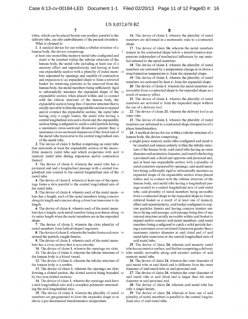tubes, which can be placed beside one another, parallel in the delivery tube, are also embodiments of the present invention. What is claimed is:

1. A medical device for use within a tubular structure of a human body, the device comprising:

at least one monolithic memory metal tube configured and sized to be inserted within the tubular structure of the human body, the metal tube including at least one of a memory effect and superelasticity and having at least one expandable section with a plurality of metal members separated by openings and capable of contraction and expansion to an expanded shape to form a retrieval basket for retrieving particles to be removed from the human body, the metal members being sufficiently rigid to substantially maintain the expanded shape of the expandable section when placed within and in contact with the tubular structure of the human body, the expandable section being free of interior structure that is axially movable within the expandable section to expand and/or contract the expandable section, the metal tube 20 having only a single lumen, the metal tube having a central longitudinal axis and a distal end, the expandable section being configured to catch a solid particle having a maximum cross-sectional dimension greater than a maximum cross-sectional dimension of the distal end of 25 the metal tube transverse to the central longitudinal axis of the metal tube.

2. The device of claim 1 further comprising an outer tube that surrounds at least the expandable section of the monolithic memory metal tube and which cooperates with said 30 memory metal tube during expansion and/or contraction thereof.

3. The device of claim 1, wherein the metal tube has a proximal end and a longitudinal passage with a central longitudinal axis coaxial to the central longitudinal axis of the 35 metal tube.

4. The device of claim 1, wherein at least one of the openings forms a slots parallel to the central longitudinal axis of the metal tube.

5. The device of claim 4, wherein each of the metal mem- <sup>40</sup> bers has a length, each of the metal members being concave along its length and concave along a direction transverse to its length.

6. The device of claim 4, wherein each of the metal members has a length, each metal member being non-linear along 45 its entire length when the metal members are in the expanded shape.

7. The device of claim 1, wherein the clots plurality of metal members form helical-shaped segments.

8. The device of claim 1, wherein the basket forms a closure 50 around the particle caught therein.

9. The device of claim 1, wherein each of the metal members has a cross section that is non-circular.

10. The device of claim 1, wherein the openings are slots. 11. The device of claim 1, wherein the tubular structure of 55 the human body is a blood vessel.

12. The device of claim 1, wherein the tubular structure of the human body is a urethra.

13. The device of claim 1, wherein the openings are slots forming a slotted section, the slotted section being bounded 60 by two non-slotted sections.

14. The device of claim 1, wherein the openings each have a mid-longitudinal axis and a complete perimeter surrounding the mid-longitudinal axis.

15. The device of claim 1, wherein the plurality of metal 65 members are programmed to form the expanded shape at or above a pre-determined transformation temperature.

8

16. The device of claim 1, wherein the plurality of metal members are deformed in a martensitic state to a contracted shape.

17. The device of claim 16, wherein the metal members remain in the contracted shape below a transformation temperature independent of mechanical influences by any material external to the metal members.

18. The device of claim 1, wherein the plurality of metal members are activated by a temperature change at or above a transformation temperature to form the expanded shape.

**19.** The device of claim 1, wherein the plurality of metal members are activated by heat to form the expanded shape.

20. The device of claim 1, wherein the metal members are moveable from a contracted shape to the expanded shape as a result of memory effect.

**21.** The device of claim 1, wherein the plurality of metal members are activated to form the expanded shape without the use of a delivery tool.

22. The device of claim 21, wherein the delivery tool is an outer tube.

23. The device of claim 1, wherein the plurality of metal members are deformed to a contracted shape irrespective of a phase transformation.

**24.** A medical device for use within a tubular structure of a human body, the device comprising:

a single-piece memory metal tube configured and sized to be inserted and remain entirely within the tubular structure of the human body, said metal tube having an outer diameter and an interior diameter, said metal tube having a proximal end, a distal end opposite said proximal end, and at least one expandable section with a plurality of metal members separated by openings, said metal members being sufficiently rigid to substantially maintain an expanded shape of the expandable section when placed within and in contact with the tubular structure of the human body, said metal tube having a longitudinal passage coaxial to a central longitudinal axis of said metal tube, said plurality of metal members being moveable from a contracted shape to the expanded shape to form a retrieval basket as a result of at least one of memory effect and superelasticity, said basket configured to capture particles therein and having concave interior surfaces facing said passage, said passage being free of any internal structure axially moveable within said basket to expand and/or contract said metal members, said metal members being configured to catch a solid particle having a maximum cross-sectional dimension greater than a maximum interior diameter at said distal end of said metal tube transverse to the central longitudinal axis of said metal tube.

25. The device of claim 24, wherein said memory metal tube has an exterior surface, and further comprising a delivery tube axially moveable along said exterior surface of said memory metal tube.

26. The device of claim 24, wherein the outer diameter of said metal tube at said distal end is different from the outer diameter of said metal tube at said proximal end.

27. The device of claim 26, wherein the outer diameter of said metal tube at said distal end is larger than the outer diameter at said proximal end.

28. The device of claim 24, wherein said metal tube has only a single lumen.

29. The device of claim 24, wherein at least one of said plurality of metal members is parallel to the central longitudinal axis of said metal tube.